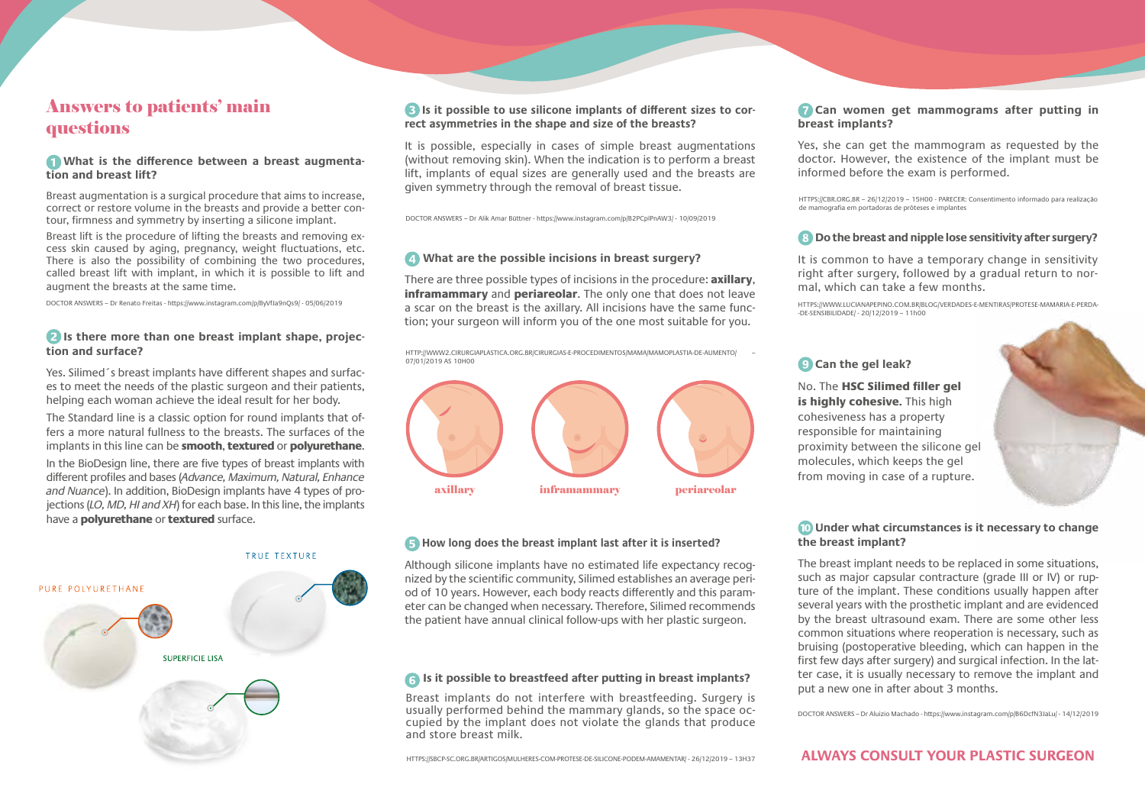## Answers to patients' main questions

#### **T** What is the difference between a breast augmenta**tion and breast lift?**

Breast augmentation is a surgical procedure that aims to increase, correct or restore volume in the breasts and provide a better contour, firmness and symmetry by inserting a silicone implant.

Breast lift is the procedure of lifting the breasts and removing excess skin caused by aging, pregnancy, weight fluctuations, etc. There is also the possibility of combining the two procedures, called breast lift with implant, in which it is possible to lift and augment the breasts at the same time.

DOCTOR ANSWERS – Dr Renato Freitas - https://www.instagram.com/p/ByVfJa9nQs9/ - 05/06/2019

#### **Is there more than one breast implant shape, projection and surface?**

Yes. Silimed´s breast implants have different shapes and surfaces to meet the needs of the plastic surgeon and their patients, helping each woman achieve the ideal result for her body.

The Standard line is a classic option for round implants that offers a more natural fullness to the breasts. The surfaces of the implants in this line can be **smooth, textured** or **polyurethane**.

In the BioDesign line, there are five types of breast implants with different profiles and bases (*Advance, Maximum, Natural, Enhance and Nuance*). In addition, BioDesign implants have 4 types of projections (*LO, MD, HI and XH*) for each base. In this line, the implants have a **polyurethane** or **textured** surface.



#### **Is it possible to use silicone implants of different sizes to correct asymmetries in the shape and size of the breasts?**

It is possible, especially in cases of simple breast augmentations (without removing skin). When the indication is to perform a breast lift, implants of equal sizes are generally used and the breasts are given symmetry through the removal of breast tissue.

DOCTOR ANSWERS – Dr Alik Amar Büttner - https://www.instagram.com/p/B2PCplPnAW3/ - 10/09/2019

### **What are the possible incisions in breast surgery?**

There are three possible types of incisions in the procedure: axillary, inframammary and periareolar. The only one that does not leave a scar on the breast is the axillary. All incisions have the same function; your surgeon will inform you of the one most suitable for you.

HTTP://WWW2.CIRURGIAPLASTICA.ORG.BR/CIRURGIAS-E-PROCEDIMENTOS/MAMA/MAMOPLASTIA-DE-AUMENTO/ – 07/01/2019 AS 10H00



#### **How long does the breast implant last after it is inserted?**

Although silicone implants have no estimated life expectancy recognized by the scientific community, Silimed establishes an average period of 10 years. However, each body reacts differently and this parameter can be changed when necessary. Therefore, Silimed recommends the patient have annual clinical follow-ups with her plastic surgeon.

#### **Is it possible to breastfeed after putting in breast implants?**

Breast implants do not interfere with breastfeeding. Surgery is usually performed behind the mammary glands, so the space occupied by the implant does not violate the glands that produce and store breast milk.

HTTPS://SBCP-SC.ORG.BR/ARTIGOS/MULHERES-COM-PROTESE-DE-SILICONE-PODEM-AMAMENTAR/ - 26/12/2019 – 13H37

#### **Can women get mammograms after putting in breast implants?**

Yes, she can get the mammogram as requested by the doctor. However, the existence of the implant must be informed before the exam is performed.

HTTPS://CBR.ORG.BR – 26/12/2019 – 15H00 - PARECER: Consentimento informado para realização de mamografia em portadoras de próteses e implantes

#### **B** Do the breast and nipple lose sensitivity after surgery?

It is common to have a temporary change in sensitivity right after surgery, followed by a gradual return to normal, which can take a few months.

HTTPS://WWW.LUCIANAPEPINO.COM.BR/BLOG/VERDADES-E-MENTIRAS/PROTESE-MAMARIA-E-PERDA- -DE-SENSIBILIDADE/ - 20/12/2019 – 11h00

#### **Can the gel leak?**

No. The HSC Silimed filler gel is highly cohesive. This high cohesiveness has a property responsible for maintaining proximity between the silicone gel molecules, which keeps the gel from moving in case of a rupture.



#### **Under what circumstances is it necessary to change the breast implant?**

The breast implant needs to be replaced in some situations, such as major capsular contracture (grade III or IV) or rupture of the implant. These conditions usually happen after several years with the prosthetic implant and are evidenced by the breast ultrasound exam. There are some other less common situations where reoperation is necessary, such as bruising (postoperative bleeding, which can happen in the first few days after surgery) and surgical infection. In the latter case, it is usually necessary to remove the implant and put a new one in after about 3 months.

DOCTOR ANSWERS – Dr Aluizio Machado - https://www.instagram.com/p/B6DcfN3JaLu/ - 14/12/2019